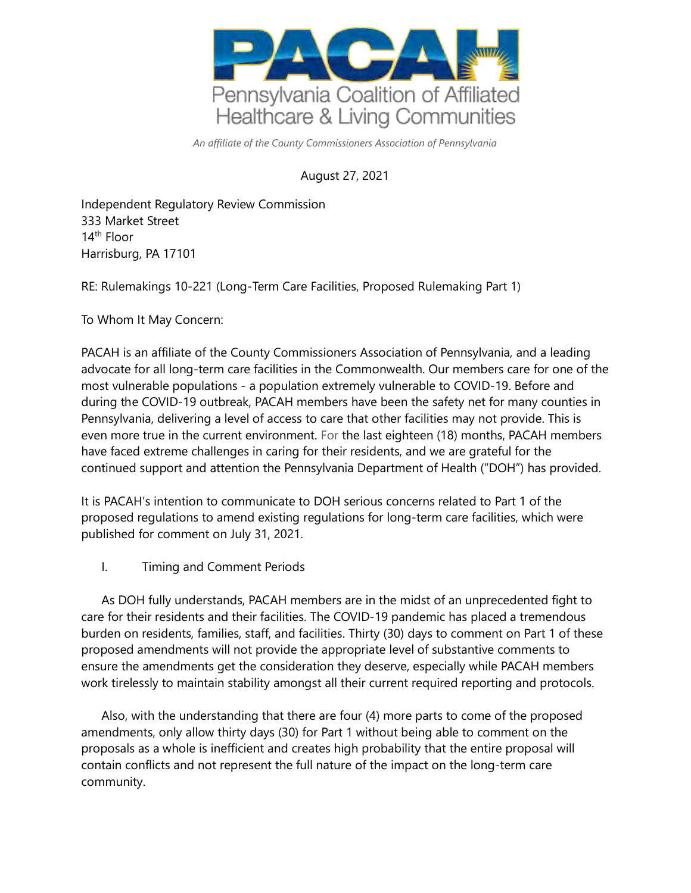

*An affiliate of the County Commissioners Association of Pennsylvania* 

## August 27, 2021

Independent Regulatory Review Commission 333 Market Street 14th Floor Harrisburg, PA 17101

RE: Rulemakings 10-221 (Long-Term Care Facilities, Proposed Rulemaking Part 1)

To Whom It May Concern:

PACAH is an affiliate of the County Commissioners Association of Pennsylvania, and a leading advocate for all long-term care facilities in the Commonwealth. Our members care for one of the most vulnerable populations - a population extremely vulnerable to COVID-19. Before and during the COVID-19 outbreak, PACAH members have been the safety net for many counties in Pennsylvania, delivering a level of access to care that other facilities may not provide. This is even more true in the current environment. For the last eighteen (18) months, PACAH members have faced extreme challenges in caring for their residents, and we are grateful for the continued support and attention the Pennsylvania Department of Health ("DOH") has provided.

It is PACAH's intention to communicate to DOH serious concerns related to Part 1 of the proposed regulations to amend existing regulations for long-term care facilities, which were published for comment on July 31, 2021.

I. Timing and Comment Periods

As DOH fully understands, PACAH members are in the midst of an unprecedented fight to care for their residents and their facilities. The COVID-19 pandemic has placed a tremendous burden on residents, families, staff, and facilities. Thirty (30) days to comment on Part 1 of these proposed amendments will not provide the appropriate level of substantive comments to ensure the amendments get the consideration they deserve, especially while PACAH members work tirelessly to maintain stability amongst all their current required reporting and protocols.

Also, with the understanding that there are four (4) more parts to come of the proposed amendments, only allow thirty days (30) for Part 1 without being able to comment on the proposals as a whole is inefficient and creates high probability that the entire proposal will contain conflicts and not represent the full nature of the impact on the long-term care community.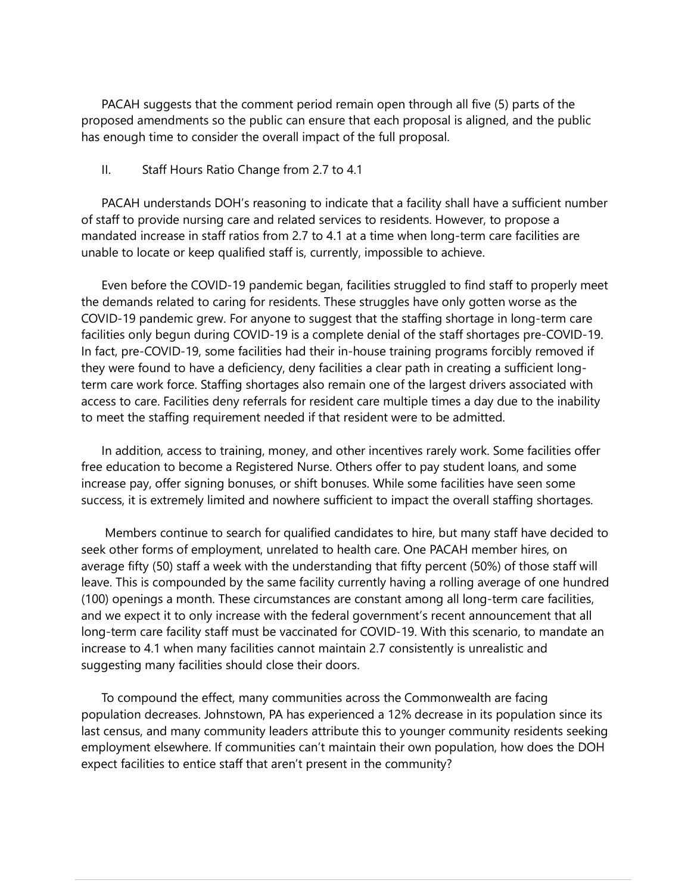PACAH suggests that the comment period remain open through all five (5) parts of the proposed amendments so the public can ensure that each proposal is aligned, and the public has enough time to consider the overall impact of the full proposal.

## II. Staff Hours Ratio Change from 2.7 to 4.1

PACAH understands DOH's reasoning to indicate that a facility shall have a sufficient number of staff to provide nursing care and related services to residents. However, to propose a mandated increase in staff ratios from 2.7 to 4.1 at a time when long-term care facilities are unable to locate or keep qualified staff is, currently, impossible to achieve.

Even before the COVID-19 pandemic began, facilities struggled to find staff to properly meet the demands related to caring for residents. These struggles have only gotten worse as the COVID-19 pandemic grew. For anyone to suggest that the staffing shortage in long-term care facilities only begun during COVID-19 is a complete denial of the staff shortages pre-COVID-19. In fact, pre-COVID-19, some facilities had their in-house training programs forcibly removed if they were found to have a deficiency, deny facilities a clear path in creating a sufficient longterm care work force. Staffing shortages also remain one of the largest drivers associated with access to care. Facilities deny referrals for resident care multiple times a day due to the inability to meet the staffing requirement needed if that resident were to be admitted.

In addition, access to training, money, and other incentives rarely work. Some facilities offer free education to become a Registered Nurse. Others offer to pay student loans, and some increase pay, offer signing bonuses, or shift bonuses. While some facilities have seen some success, it is extremely limited and nowhere sufficient to impact the overall staffing shortages.

Members continue to search for qualified candidates to hire, but many staff have decided to seek other forms of employment, unrelated to health care. One PACAH member hires, on average fifty (50) staff a week with the understanding that fifty percent (50%) of those staff will leave. This is compounded by the same facility currently having a rolling average of one hundred (100) openings a month. These circumstances are constant among all long-term care facilities, and we expect it to only increase with the federal government's recent announcement that all long-term care facility staff must be vaccinated for COVID-19. With this scenario, to mandate an increase to 4.1 when many facilities cannot maintain 2.7 consistently is unrealistic and suggesting many facilities should close their doors.

To compound the effect, many communities across the Commonwealth are facing population decreases. Johnstown, PA has experienced a 12% decrease in its population since its last census, and many community leaders attribute this to younger community residents seeking employment elsewhere. If communities can't maintain their own population, how does the DOH expect facilities to entice staff that aren't present in the community?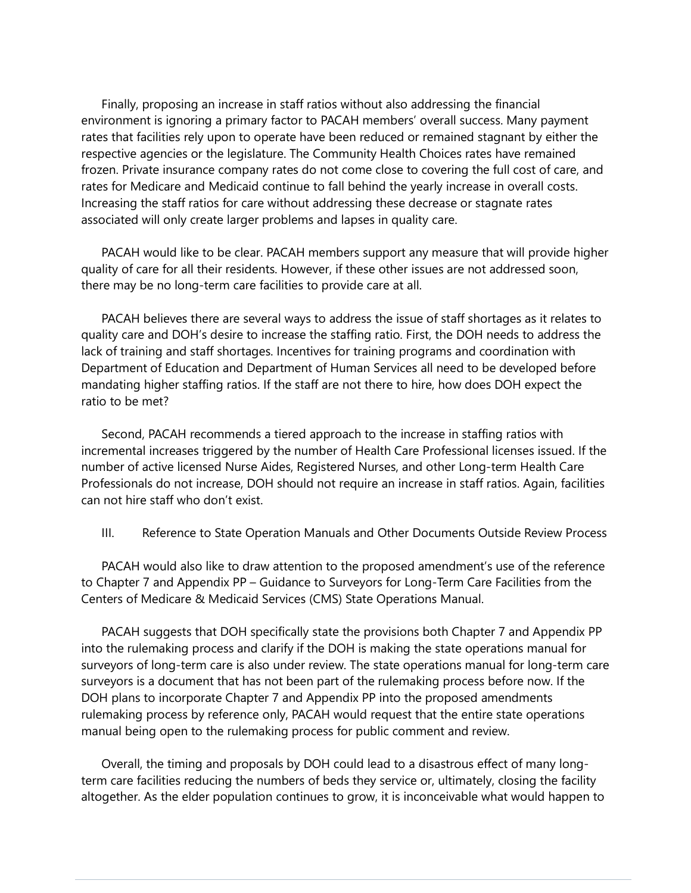Finally, proposing an increase in staff ratios without also addressing the financial environment is ignoring a primary factor to PACAH members' overall success. Many payment rates that facilities rely upon to operate have been reduced or remained stagnant by either the respective agencies or the legislature. The Community Health Choices rates have remained frozen. Private insurance company rates do not come close to covering the full cost of care, and rates for Medicare and Medicaid continue to fall behind the yearly increase in overall costs. Increasing the staff ratios for care without addressing these decrease or stagnate rates associated will only create larger problems and lapses in quality care.

PACAH would like to be clear. PACAH members support any measure that will provide higher quality of care for all their residents. However, if these other issues are not addressed soon, there may be no long-term care facilities to provide care at all.

PACAH believes there are several ways to address the issue of staff shortages as it relates to quality care and DOH's desire to increase the staffing ratio. First, the DOH needs to address the lack of training and staff shortages. Incentives for training programs and coordination with Department of Education and Department of Human Services all need to be developed before mandating higher staffing ratios. If the staff are not there to hire, how does DOH expect the ratio to be met?

Second, PACAH recommends a tiered approach to the increase in staffing ratios with incremental increases triggered by the number of Health Care Professional licenses issued. If the number of active licensed Nurse Aides, Registered Nurses, and other Long-term Health Care Professionals do not increase, DOH should not require an increase in staff ratios. Again, facilities can not hire staff who don't exist.

III. Reference to State Operation Manuals and Other Documents Outside Review Process

PACAH would also like to draw attention to the proposed amendment's use of the reference to Chapter 7 and Appendix PP – Guidance to Surveyors for Long-Term Care Facilities from the Centers of Medicare & Medicaid Services (CMS) State Operations Manual.

PACAH suggests that DOH specifically state the provisions both Chapter 7 and Appendix PP into the rulemaking process and clarify if the DOH is making the state operations manual for surveyors of long-term care is also under review. The state operations manual for long-term care surveyors is a document that has not been part of the rulemaking process before now. If the DOH plans to incorporate Chapter 7 and Appendix PP into the proposed amendments rulemaking process by reference only, PACAH would request that the entire state operations manual being open to the rulemaking process for public comment and review.

Overall, the timing and proposals by DOH could lead to a disastrous effect of many longterm care facilities reducing the numbers of beds they service or, ultimately, closing the facility altogether. As the elder population continues to grow, it is inconceivable what would happen to